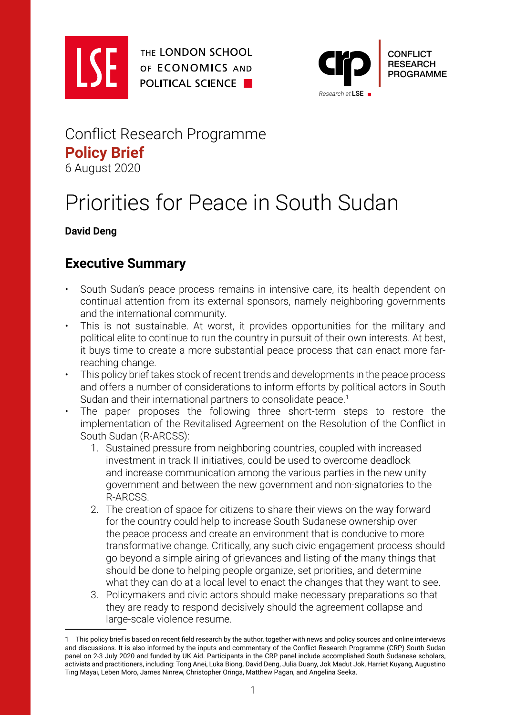

THE LONDON SCHOOL OF ECONOMICS AND **POLITICAL SCIENCE** 



# Conflict Research Programme **Policy Brief** 6 August 2020

# Priorities for Peace in South Sudan

#### **David Deng**

# **Executive Summary**

- South Sudan's peace process remains in intensive care, its health dependent on continual attention from its external sponsors, namely neighboring governments and the international community.
- This is not sustainable. At worst, it provides opportunities for the military and political elite to continue to run the country in pursuit of their own interests. At best, it buys time to create a more substantial peace process that can enact more farreaching change.
- This policy brief takes stock of recent trends and developments in the peace process and offers a number of considerations to inform efforts by political actors in South Sudan and their international partners to consolidate peace.<sup>1</sup>
- The paper proposes the following three short-term steps to restore the implementation of the Revitalised Agreement on the Resolution of the Conflict in South Sudan (R-ARCSS):
	- 1. Sustained pressure from neighboring countries, coupled with increased investment in track II initiatives, could be used to overcome deadlock and increase communication among the various parties in the new unity government and between the new government and non-signatories to the R-ARCSS.
	- 2. The creation of space for citizens to share their views on the way forward for the country could help to increase South Sudanese ownership over the peace process and create an environment that is conducive to more transformative change. Critically, any such civic engagement process should go beyond a simple airing of grievances and listing of the many things that should be done to helping people organize, set priorities, and determine what they can do at a local level to enact the changes that they want to see.
	- 3. Policymakers and civic actors should make necessary preparations so that they are ready to respond decisively should the agreement collapse and large-scale violence resume.

<sup>1</sup> This policy brief is based on recent field research by the author, together with news and policy sources and online interviews and discussions. It is also informed by the inputs and commentary of the Conflict Research Programme (CRP) South Sudan panel on 2-3 July 2020 and funded by UK Aid. Participants in the CRP panel include accomplished South Sudanese scholars, activists and practitioners, including: Tong Anei, Luka Biong, David Deng, Julia Duany, Jok Madut Jok, Harriet Kuyang, Augustino Ting Mayai, Leben Moro, James Ninrew, Christopher Oringa, Matthew Pagan, and Angelina Seeka.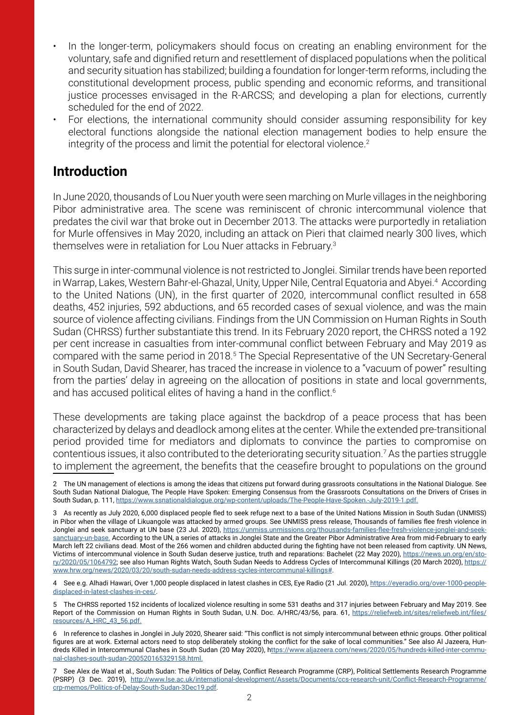- In the longer-term, policymakers should focus on creating an enabling environment for the voluntary, safe and dignified return and resettlement of displaced populations when the political and security situation has stabilized; building a foundation for longer-term reforms, including the constitutional development process, public spending and economic reforms, and transitional justice processes envisaged in the R-ARCSS; and developing a plan for elections, currently scheduled for the end of 2022.
- For elections, the international community should consider assuming responsibility for key electoral functions alongside the national election management bodies to help ensure the integrity of the process and limit the potential for electoral violence.<sup>2</sup>

#### **Introduction**

In June 2020, thousands of Lou Nuer youth were seen marching on Murle villages in the neighboring Pibor administrative area. The scene was reminiscent of chronic intercommunal violence that predates the civil war that broke out in December 2013. The attacks were purportedly in retaliation for Murle offensives in May 2020, including an attack on Pieri that claimed nearly 300 lives, which themselves were in retaliation for Lou Nuer attacks in February.3

This surge in inter-communal violence is not restricted to Jonglei. Similar trends have been reported in Warrap, Lakes, Western Bahr-el-Ghazal, Unity, Upper Nile, Central Equatoria and Abyei.<sup>4</sup> According to the United Nations (UN), in the first quarter of 2020, intercommunal conflict resulted in 658 deaths, 452 injuries, 592 abductions, and 65 recorded cases of sexual violence, and was the main source of violence affecting civilians. Findings from the UN Commission on Human Rights in South Sudan (CHRSS) further substantiate this trend. In its February 2020 report, the CHRSS noted a 192 per cent increase in casualties from inter-communal conflict between February and May 2019 as compared with the same period in 2018.<sup>5</sup> The Special Representative of the UN Secretary-General in South Sudan, David Shearer, has traced the increase in violence to a "vacuum of power" resulting from the parties' delay in agreeing on the allocation of positions in state and local governments, and has accused political elites of having a hand in the conflict.<sup>6</sup>

These developments are taking place against the backdrop of a peace process that has been characterized by delays and deadlock among elites at the center. While the extended pre-transitional period provided time for mediators and diplomats to convince the parties to compromise on contentious issues, it also contributed to the deteriorating security situation.<sup>7</sup> As the parties struggle to implement the agreement, the benefits that the ceasefire brought to populations on the ground

4 See e.g. Alhadi Hawari, Over 1,000 people displaced in latest clashes in CES, Eye Radio (21 Jul. 2020), [https://eyeradio.org/over-1000-people](https://eyeradio.org/over-1000-people-displaced-in-latest-clashes-in-ces/)[displaced-in-latest-clashes-in-ces/.](https://eyeradio.org/over-1000-people-displaced-in-latest-clashes-in-ces/)

5 The CHRSS reported 152 incidents of localized violence resulting in some 531 deaths and 317 injuries between February and May 2019. See Report of the Commission on Human Rights in South Sudan, U.N. Doc. A/HRC/43/56, para. 61, [https://reliefweb.int/sites/reliefweb.int/files/](https://reliefweb.int/sites/reliefweb.int/files/resources/A_HRC_43_56.pdf.) [resources/A\\_HRC\\_43\\_56.pdf.](https://reliefweb.int/sites/reliefweb.int/files/resources/A_HRC_43_56.pdf.)

6 In reference to clashes in Jonglei in July 2020, Shearer said: "This conflict is not simply intercommunal between ethnic groups. Other political figures are at work. External actors need to stop deliberately stoking the conflict for the sake of local communities." See also Al Jazeera, Hundreds Killed in Intercommunal Clashes in South Sudan (20 May 2020), [https://www.aljazeera.com/news/2020/05/hundreds-killed-inter-commu](ttps://www.aljazeera.com/news/2020/05/hundreds-killed-inter-communal-clashes-south-sudan-20052016532)[nal-clashes-south-sudan-200520165329158.html.](ttps://www.aljazeera.com/news/2020/05/hundreds-killed-inter-communal-clashes-south-sudan-20052016532)

7 See Alex de Waal et al., South Sudan: The Politics of Delay, Conflict Research Programme (CRP), Political Settlements Research Programme (PSRP) (3 Dec. 2019), [http://www.lse.ac.uk/international-development/Assets/Documents/ccs-research-unit/Conflict-Research-Programme/](http://www.lse.ac.uk/international-development/Assets/Documents/ccs-research-unit/Conflict-Research-) [crp-memos/Politics-of-Delay-South-Sudan-3Dec19.pdf.](http://www.lse.ac.uk/international-development/Assets/Documents/ccs-research-unit/Conflict-Research-)

<sup>2</sup> The UN management of elections is among the ideas that citizens put forward during grassroots consultations in the National Dialogue. See South Sudan National Dialogue, The People Have Spoken: Emerging Consensus from the Grassroots Consultations on the Drivers of Crises in South Sudan, p. 111, <https://www.ssnationaldialogue.org/wp-content/uploads/The-People-Have-Spoken.-July-2019-1.pdf.>

<sup>3</sup> As recently as July 2020, 6,000 displaced people fled to seek refuge next to a base of the United Nations Mission in South Sudan (UNMISS) in Pibor when the village of Likuangole was attacked by armed groups. See UNMISS press release, Thousands of families flee fresh violence in Jonglei and seek sanctuary at UN base (23 Jul. 2020), [https://unmiss.unmissions.org/thousands-families-flee-fresh-violence-jonglei-and-seek](https://unmiss.unmissions.org/thousands-families-flee-fresh-violence-jonglei-and-seek-sanctuary-un-b)[sanctuary-un-base.](https://unmiss.unmissions.org/thousands-families-flee-fresh-violence-jonglei-and-seek-sanctuary-un-b) According to the UN, a series of attacks in Jonglei State and the Greater Pibor Administrative Area from mid-February to early March left 22 civilians dead. Most of the 266 women and children abducted during the fighting have not been released from captivity. UN News, Victims of intercommunal violence in South Sudan deserve justice, truth and reparations: Bachelet (22 May 2020), [https://news.un.org/en/sto](https://news.un.org/en/story/2020/05/1064792)[ry/2020/05/1064792](https://news.un.org/en/story/2020/05/1064792); see also Human Rights Watch, South Sudan Needs to Address Cycles of Intercommunal Killings (20 March 2020), [https://](https://www.hrw.org/news/2020/03/20/south-sudan-needs-address-cycles-intercommunal-killings#) [www.hrw.org/news/2020/03/20/south-sudan-needs-address-cycles-intercommunal-killings#.](https://www.hrw.org/news/2020/03/20/south-sudan-needs-address-cycles-intercommunal-killings#)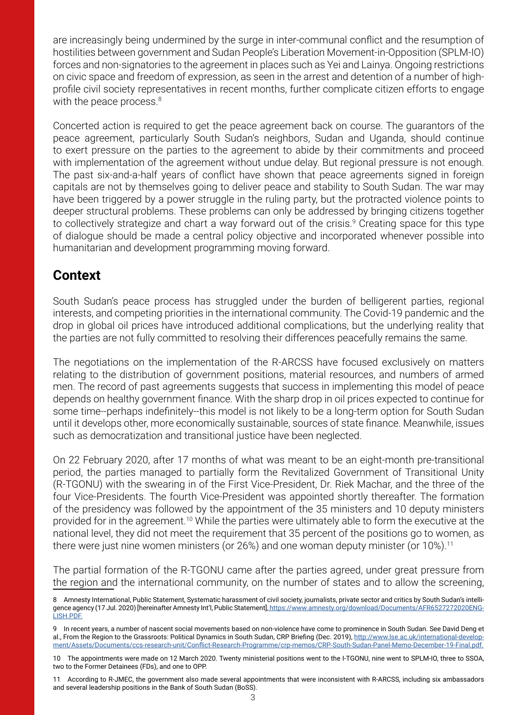are increasingly being undermined by the surge in inter-communal conflict and the resumption of hostilities between government and Sudan People's Liberation Movement-in-Opposition (SPLM-IO) forces and non-signatories to the agreement in places such as Yei and Lainya. Ongoing restrictions on civic space and freedom of expression, as seen in the arrest and detention of a number of highprofile civil society representatives in recent months, further complicate citizen efforts to engage with the peace process. $8$ 

Concerted action is required to get the peace agreement back on course. The guarantors of the peace agreement, particularly South Sudan's neighbors, Sudan and Uganda, should continue to exert pressure on the parties to the agreement to abide by their commitments and proceed with implementation of the agreement without undue delay. But regional pressure is not enough. The past six-and-a-half years of conflict have shown that peace agreements signed in foreign capitals are not by themselves going to deliver peace and stability to South Sudan. The war may have been triggered by a power struggle in the ruling party, but the protracted violence points to deeper structural problems. These problems can only be addressed by bringing citizens together to collectively strategize and chart a way forward out of the crisis.<sup>9</sup> Creating space for this type of dialogue should be made a central policy objective and incorporated whenever possible into humanitarian and development programming moving forward.

## **Context**

South Sudan's peace process has struggled under the burden of belligerent parties, regional interests, and competing priorities in the international community. The Covid-19 pandemic and the drop in global oil prices have introduced additional complications, but the underlying reality that the parties are not fully committed to resolving their differences peacefully remains the same.

The negotiations on the implementation of the R-ARCSS have focused exclusively on matters relating to the distribution of government positions, material resources, and numbers of armed men. The record of past agreements suggests that success in implementing this model of peace depends on healthy government finance. With the sharp drop in oil prices expected to continue for some time--perhaps indefinitely--this model is not likely to be a long-term option for South Sudan until it develops other, more economically sustainable, sources of state finance. Meanwhile, issues such as democratization and transitional justice have been neglected.

On 22 February 2020, after 17 months of what was meant to be an eight-month pre-transitional period, the parties managed to partially form the Revitalized Government of Transitional Unity (R-TGONU) with the swearing in of the First Vice-President, Dr. Riek Machar, and the three of the four Vice-Presidents. The fourth Vice-President was appointed shortly thereafter. The formation of the presidency was followed by the appointment of the 35 ministers and 10 deputy ministers provided for in the agreement.10 While the parties were ultimately able to form the executive at the national level, they did not meet the requirement that 35 percent of the positions go to women, as there were just nine women ministers (or 26%) and one woman deputy minister (or 10%).<sup>11</sup>

The partial formation of the R-TGONU came after the parties agreed, under great pressure from the region and the international community, on the number of states and to allow the screening,

<sup>8</sup> Amnesty International, Public Statement, Systematic harassment of civil society, journalists, private sector and critics by South Sudan's intelligence agency (17 Jul. 2020) [hereinafter Amnesty Int'l, Public Statement], [https://www.amnesty.org/download/Documents/AFR6527272020ENG-]( https://www.amnesty.org/download/Documents/AFR6527272020ENGLISH.PDF.)[LISH.PDF.]( https://www.amnesty.org/download/Documents/AFR6527272020ENGLISH.PDF.)

In recent years, a number of nascent social movements based on non-violence have come to prominence in South Sudan. See David Deng et al., From the Region to the Grassroots: Political Dynamics in South Sudan, CRP Briefing (Dec. 2019), [http://www.lse.ac.uk/international-develop](http://www.lse.ac.uk/international-development/Assets/Documents/ccs-research-unit/Conflict-Research-)[ment/Assets/Documents/ccs-research-unit/Conflict-Research-Programme/crp-memos/CRP-South-Sudan-Panel-Memo-December-19-Final.pdf.](http://www.lse.ac.uk/international-development/Assets/Documents/ccs-research-unit/Conflict-Research-)

<sup>10</sup> The appointments were made on 12 March 2020. Twenty ministerial positions went to the I-TGONU, nine went to SPLM-IO, three to SSOA, two to the Former Detainees (FDs), and one to OPP.

<sup>11</sup> According to R-JMEC, the government also made several appointments that were inconsistent with R-ARCSS, including six ambassadors and several leadership positions in the Bank of South Sudan (BoSS).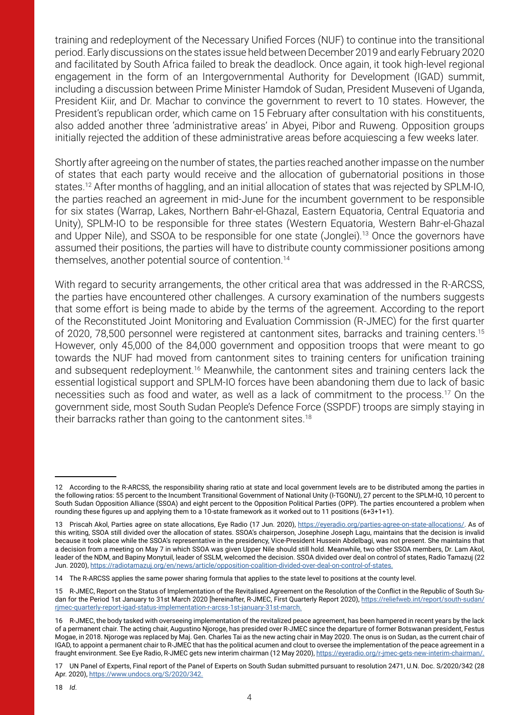training and redeployment of the Necessary Unified Forces (NUF) to continue into the transitional period. Early discussions on the states issue held between December 2019 and early February 2020 and facilitated by South Africa failed to break the deadlock. Once again, it took high-level regional engagement in the form of an Intergovernmental Authority for Development (IGAD) summit, including a discussion between Prime Minister Hamdok of Sudan, President Museveni of Uganda, President Kiir, and Dr. Machar to convince the government to revert to 10 states. However, the President's republican order, which came on 15 February after consultation with his constituents, also added another three 'administrative areas' in Abyei, Pibor and Ruweng. Opposition groups initially rejected the addition of these administrative areas before acquiescing a few weeks later.

Shortly after agreeing on the number of states, the parties reached another impasse on the number of states that each party would receive and the allocation of gubernatorial positions in those states.12 After months of haggling, and an initial allocation of states that was rejected by SPLM-IO, the parties reached an agreement in mid-June for the incumbent government to be responsible for six states (Warrap, Lakes, Northern Bahr-el-Ghazal, Eastern Equatoria, Central Equatoria and Unity), SPLM-IO to be responsible for three states (Western Equatoria, Western Bahr-el-Ghazal and Upper Nile), and SSOA to be responsible for one state (Jonglei).<sup>13</sup> Once the governors have assumed their positions, the parties will have to distribute county commissioner positions among themselves, another potential source of contention.14

With regard to security arrangements, the other critical area that was addressed in the R-ARCSS, the parties have encountered other challenges. A cursory examination of the numbers suggests that some effort is being made to abide by the terms of the agreement. According to the report of the Reconstituted Joint Monitoring and Evaluation Commission (R-JMEC) for the first quarter of 2020, 78,500 personnel were registered at cantonment sites, barracks and training centers.15 However, only 45,000 of the 84,000 government and opposition troops that were meant to go towards the NUF had moved from cantonment sites to training centers for unification training and subsequent redeployment.<sup>16</sup> Meanwhile, the cantonment sites and training centers lack the essential logistical support and SPLM-IO forces have been abandoning them due to lack of basic necessities such as food and water, as well as a lack of commitment to the process.17 On the government side, most South Sudan People's Defence Force (SSPDF) troops are simply staying in their barracks rather than going to the cantonment sites.<sup>18</sup>

<sup>12</sup> According to the R-ARCSS, the responsibility sharing ratio at state and local government levels are to be distributed among the parties in the following ratios: 55 percent to the Incumbent Transitional Government of National Unity (I-TGONU), 27 percent to the SPLM-IO, 10 percent to South Sudan Opposition Alliance (SSOA) and eight percent to the Opposition Political Parties (OPP). The parties encountered a problem when rounding these figures up and applying them to a 10-state framework as it worked out to 11 positions (6+3+1+1).

<sup>13</sup> Priscah Akol, Parties agree on state allocations, Eye Radio (17 Jun. 2020), <https://eyeradio.org/parties-agree-on-state-allocations/>. As of this writing, SSOA still divided over the allocation of states. SSOA's chairperson, Josephine Joseph Lagu, maintains that the decision is invalid because it took place while the SSOA's representative in the presidency, Vice-President Hussein Abdelbagi, was not present. She maintains that a decision from a meeting on May 7 in which SSOA was given Upper Nile should still hold. Meanwhile, two other SSOA members, Dr. Lam Akol, leader of the NDM, and Bapiny Monytuil, leader of SSLM, welcomed the decision. SSOA divided over deal on control of states, Radio Tamazuj (22 Jun. 2020),<https://radiotamazuj.org/en/news/article/opposition-coalition-divided-over-deal-on-control-of-states>.

<sup>14</sup> The R-ARCSS applies the same power sharing formula that applies to the state level to positions at the county level.

<sup>15</sup> R-JMEC, Report on the Status of Implementation of the Revitalised Agreement on the Resolution of the Conflict in the Republic of South Sudan for the Period 1st January to 31st March 2020 [hereinafter, R-JMEC, First Quarterly Report 2020), [https://reliefweb.int/report/south-sudan/](https://reliefweb.int/report/south-sudan/rjmec-quarterly-report-igad-status-implementation-r-arcss-1) [rjmec-quarterly-report-igad-status-implementation-r-arcss-1st-january-31st-march.](https://reliefweb.int/report/south-sudan/rjmec-quarterly-report-igad-status-implementation-r-arcss-1)

<sup>16</sup> R-JMEC, the body tasked with overseeing implementation of the revitalized peace agreement, has been hampered in recent years by the lack of a permanent chair. The acting chair, Augustino Njoroge, has presided over R-JMEC since the departure of former Botswanan president, Festus Mogae, in 2018. Njoroge was replaced by Maj. Gen. Charles Tai as the new acting chair in May 2020. The onus is on Sudan, as the current chair of IGAD, to appoint a permanent chair to R-JMEC that has the political acumen and clout to oversee the implementation of the peace agreement in a fraught environment. See Eye Radio, R-JMEC gets new interim chairman (12 May 2020),<https://eyeradio.org/r-jmec-gets-new-interim-chairman/>.

<sup>17</sup> UN Panel of Experts, Final report of the Panel of Experts on South Sudan submitted pursuant to resolution 2471, U.N. Doc. S/2020/342 (28 Apr. 2020),<https://www.undocs.org/S/2020/342.>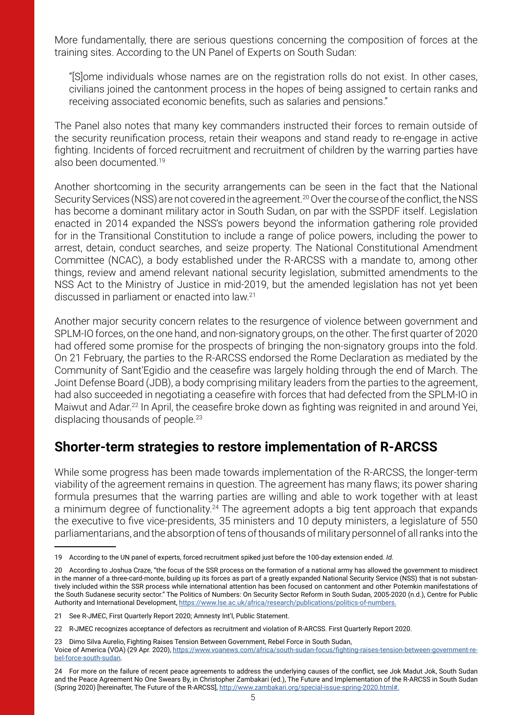More fundamentally, there are serious questions concerning the composition of forces at the training sites. According to the UN Panel of Experts on South Sudan:

"[S]ome individuals whose names are on the registration rolls do not exist. In other cases, civilians joined the cantonment process in the hopes of being assigned to certain ranks and receiving associated economic benefits, such as salaries and pensions."

The Panel also notes that many key commanders instructed their forces to remain outside of the security reunification process, retain their weapons and stand ready to re-engage in active fighting. Incidents of forced recruitment and recruitment of children by the warring parties have also been documented.<sup>19</sup>

Another shortcoming in the security arrangements can be seen in the fact that the National Security Services (NSS) are not covered in the agreement.<sup>20</sup> Over the course of the conflict, the NSS has become a dominant military actor in South Sudan, on par with the SSPDF itself. Legislation enacted in 2014 expanded the NSS's powers beyond the information gathering role provided for in the Transitional Constitution to include a range of police powers, including the power to arrest, detain, conduct searches, and seize property. The National Constitutional Amendment Committee (NCAC), a body established under the R-ARCSS with a mandate to, among other things, review and amend relevant national security legislation, submitted amendments to the NSS Act to the Ministry of Justice in mid-2019, but the amended legislation has not yet been discussed in parliament or enacted into law.21

Another major security concern relates to the resurgence of violence between government and SPLM-IO forces, on the one hand, and non-signatory groups, on the other. The first quarter of 2020 had offered some promise for the prospects of bringing the non-signatory groups into the fold. On 21 February, the parties to the R-ARCSS endorsed the Rome Declaration as mediated by the Community of Sant'Egidio and the ceasefire was largely holding through the end of March. The Joint Defense Board (JDB), a body comprising military leaders from the parties to the agreement, had also succeeded in negotiating a ceasefire with forces that had defected from the SPLM-IO in Maiwut and Adar.22 In April, the ceasefire broke down as fighting was reignited in and around Yei, displacing thousands of people.<sup>23</sup>

### **Shorter-term strategies to restore implementation of R-ARCSS**

While some progress has been made towards implementation of the R-ARCSS, the longer-term viability of the agreement remains in question. The agreement has many flaws; its power sharing formula presumes that the warring parties are willing and able to work together with at least a minimum degree of functionality.<sup>24</sup> The agreement adopts a big tent approach that expands the executive to five vice-presidents, 35 ministers and 10 deputy ministers, a legislature of 550 parliamentarians, and the absorption of tens of thousands of military personnel of all ranks into the

23 Dimo Silva Aurelio, Fighting Raises Tension Between Government, Rebel Force in South Sudan, Voice of America (VOA) (29 Apr. 2020), [https://www.voanews.com/africa/south-sudan-focus/fighting-raises-tension-between-government-re](https://www.voanews.com/africa/south-sudan-focus/fighting-raises-tension-between-government-rebel-fo)[bel-force-south-sudan.](https://www.voanews.com/africa/south-sudan-focus/fighting-raises-tension-between-government-rebel-fo)

<sup>19</sup> According to the UN panel of experts, forced recruitment spiked just before the 100-day extension ended. *Id.*

<sup>20</sup> According to Joshua Craze, "the focus of the SSR process on the formation of a national army has allowed the government to misdirect in the manner of a three-card-monte, building up its forces as part of a greatly expanded National Security Service (NSS) that is not substantively included within the SSR process while international attention has been focused on cantonment and other Potemkin manifestations of the South Sudanese security sector." The Politics of Numbers: On Security Sector Reform in South Sudan, 2005-2020 (n.d.), Centre for Public Authority and International Development, <https://www.lse.ac.uk/africa/research/publications/politics-of-numbers.>

<sup>21</sup> See R-JMEC, First Quarterly Report 2020; Amnesty Int'l, Public Statement.

<sup>22</sup> R-JMEC recognizes acceptance of defectors as recruitment and violation of R-ARCSS. First Quarterly Report 2020.

<sup>24</sup> For more on the failure of recent peace agreements to address the underlying causes of the conflict, see Jok Madut Jok, South Sudan and the Peace Agreement No One Swears By, in Christopher Zambakari (ed.), The Future and Implementation of the R-ARCSS in South Sudan (Spring 2020) [hereinafter, The Future of the R-ARCSS],<http://www.zambakari.org/special-issue-spring-2020.html#.>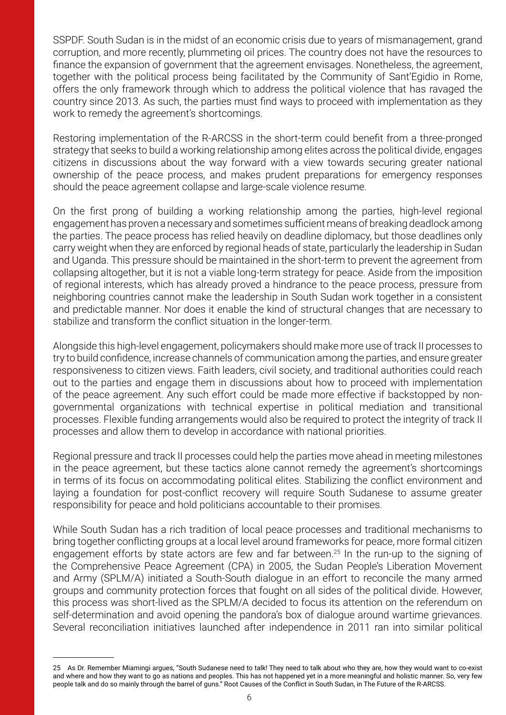SSPDF. South Sudan is in the midst of an economic crisis due to years of mismanagement, grand corruption, and more recently, plummeting oil prices. The country does not have the resources to finance the expansion of government that the agreement envisages. Nonetheless, the agreement, together with the political process being facilitated by the Community of Sant'Egidio in Rome, offers the only framework through which to address the political violence that has ravaged the country since 2013. As such, the parties must find ways to proceed with implementation as they work to remedy the agreement's shortcomings.

Restoring implementation of the R-ARCSS in the short-term could benefit from a three-pronged strategy that seeks to build a working relationship among elites across the political divide, engages citizens in discussions about the way forward with a view towards securing greater national ownership of the peace process, and makes prudent preparations for emergency responses should the peace agreement collapse and large-scale violence resume.

On the first prong of building a working relationship among the parties, high-level regional engagement has proven a necessary and sometimes sufficient means of breaking deadlock among the parties. The peace process has relied heavily on deadline diplomacy, but those deadlines only carry weight when they are enforced by regional heads of state, particularly the leadership in Sudan and Uganda. This pressure should be maintained in the short-term to prevent the agreement from collapsing altogether, but it is not a viable long-term strategy for peace. Aside from the imposition of regional interests, which has already proved a hindrance to the peace process, pressure from neighboring countries cannot make the leadership in South Sudan work together in a consistent and predictable manner. Nor does it enable the kind of structural changes that are necessary to stabilize and transform the conflict situation in the longer-term.

Alongside this high-level engagement, policymakers should make more use of track II processes to try to build confidence, increase channels of communication among the parties, and ensure greater responsiveness to citizen views. Faith leaders, civil society, and traditional authorities could reach out to the parties and engage them in discussions about how to proceed with implementation of the peace agreement. Any such effort could be made more effective if backstopped by nongovernmental organizations with technical expertise in political mediation and transitional processes. Flexible funding arrangements would also be required to protect the integrity of track II processes and allow them to develop in accordance with national priorities.

Regional pressure and track II processes could help the parties move ahead in meeting milestones in the peace agreement, but these tactics alone cannot remedy the agreement's shortcomings in terms of its focus on accommodating political elites. Stabilizing the conflict environment and laying a foundation for post-conflict recovery will require South Sudanese to assume greater responsibility for peace and hold politicians accountable to their promises.

While South Sudan has a rich tradition of local peace processes and traditional mechanisms to bring together conflicting groups at a local level around frameworks for peace, more formal citizen engagement efforts by state actors are few and far between.<sup>25</sup> In the run-up to the signing of the Comprehensive Peace Agreement (CPA) in 2005, the Sudan People's Liberation Movement and Army (SPLM/A) initiated a South-South dialogue in an effort to reconcile the many armed groups and community protection forces that fought on all sides of the political divide. However, this process was short-lived as the SPLM/A decided to focus its attention on the referendum on self-determination and avoid opening the pandora's box of dialogue around wartime grievances. Several reconciliation initiatives launched after independence in 2011 ran into similar political

<sup>25</sup> As Dr. Remember Miamingi argues, "South Sudanese need to talk! They need to talk about who they are, how they would want to co-exist and where and how they want to go as nations and peoples. This has not happened yet in a more meaningful and holistic manner. So, very few people talk and do so mainly through the barrel of guns." Root Causes of the Conflict in South Sudan, in The Future of the R-ARCSS.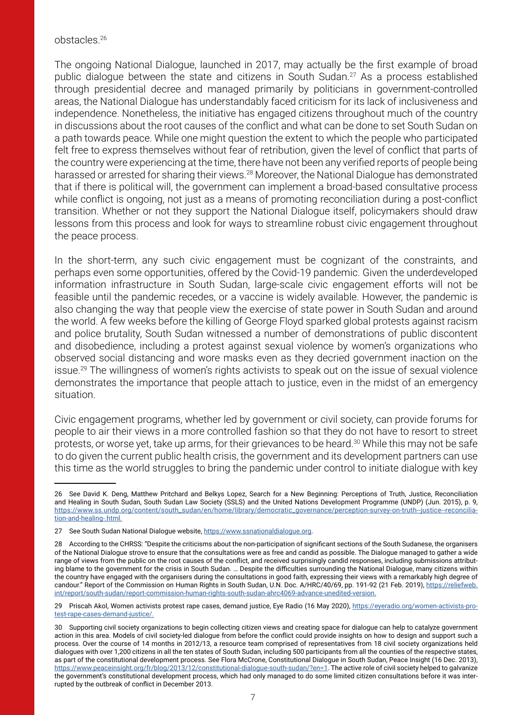#### obstacles.26

The ongoing National Dialogue, launched in 2017, may actually be the first example of broad public dialogue between the state and citizens in South Sudan.<sup>27</sup> As a process established through presidential decree and managed primarily by politicians in government-controlled areas, the National Dialogue has understandably faced criticism for its lack of inclusiveness and independence. Nonetheless, the initiative has engaged citizens throughout much of the country in discussions about the root causes of the conflict and what can be done to set South Sudan on a path towards peace. While one might question the extent to which the people who participated felt free to express themselves without fear of retribution, given the level of conflict that parts of the country were experiencing at the time, there have not been any verified reports of people being harassed or arrested for sharing their views.<sup>28</sup> Moreover, the National Dialogue has demonstrated that if there is political will, the government can implement a broad-based consultative process while conflict is ongoing, not just as a means of promoting reconciliation during a post-conflict transition. Whether or not they support the National Dialogue itself, policymakers should draw lessons from this process and look for ways to streamline robust civic engagement throughout the peace process.

In the short-term, any such civic engagement must be cognizant of the constraints, and perhaps even some opportunities, offered by the Covid-19 pandemic. Given the underdeveloped information infrastructure in South Sudan, large-scale civic engagement efforts will not be feasible until the pandemic recedes, or a vaccine is widely available. However, the pandemic is also changing the way that people view the exercise of state power in South Sudan and around the world. A few weeks before the killing of George Floyd sparked global protests against racism and police brutality, South Sudan witnessed a number of demonstrations of public discontent and disobedience, including a protest against sexual violence by women's organizations who observed social distancing and wore masks even as they decried government inaction on the issue.<sup>29</sup> The willingness of women's rights activists to speak out on the issue of sexual violence demonstrates the importance that people attach to justice, even in the midst of an emergency situation.

Civic engagement programs, whether led by government or civil society, can provide forums for people to air their views in a more controlled fashion so that they do not have to resort to street protests, or worse yet, take up arms, for their grievances to be heard.30 While this may not be safe to do given the current public health crisis, the government and its development partners can use this time as the world struggles to bring the pandemic under control to initiate dialogue with key

<sup>26</sup> See David K. Deng, Matthew Pritchard and Belkys Lopez, Search for a New Beginning: Perceptions of Truth, Justice, Reconciliation and Healing in South Sudan, South Sudan Law Society (SSLS) and the United Nations Development Programme (UNDP) (Jun. 2015), p. 9, [https://www.ss.undp.org/content/south\\_sudan/en/home/library/democratic\\_governance/perception-survey-on-truth--justice--reconcilia](https://www.ss.undp.org/content/south_sudan/en/home/library/democratic_governance/perception-survey-)[tion-and-healing-.html.](https://www.ss.undp.org/content/south_sudan/en/home/library/democratic_governance/perception-survey-)

<sup>27</sup> See South Sudan National Dialogue website, [https://www.ssnationaldialogue.org.](https://www.ssnationaldialogue.org)

<sup>28</sup> According to the CHRSS: "Despite the criticisms about the non-participation of significant sections of the South Sudanese, the organisers of the National Dialogue strove to ensure that the consultations were as free and candid as possible. The Dialogue managed to gather a wide range of views from the public on the root causes of the conflict, and received surprisingly candid responses, including submissions attributing blame to the government for the crisis in South Sudan. ... Despite the difficulties surrounding the National Dialogue, many citizens within the country have engaged with the organisers during the consultations in good faith, expressing their views with a remarkably high degree of candour." Report of the Commission on Human Rights in South Sudan, U.N. Doc. A/HRC/40/69, pp. 191-92 (21 Feb. 2019), [https://reliefweb.](https://reliefweb.int/report/south-sudan/report-commission-human-rights-south-sudan-ahrc4069-advance) [int/report/south-sudan/report-commission-human-rights-south-sudan-ahrc4069-advance-unedited-version.](https://reliefweb.int/report/south-sudan/report-commission-human-rights-south-sudan-ahrc4069-advance)

<sup>29</sup> Priscah Akol, Women activists protest rape cases, demand justice, Eye Radio (16 May 2020), [https://eyeradio.org/women-activists-pro](https://eyeradio.org/women-activists-protest-rape-cases-demand-justice/.)[test-rape-cases-demand-justice/.](https://eyeradio.org/women-activists-protest-rape-cases-demand-justice/.)

<sup>30</sup> Supporting civil society organizations to begin collecting citizen views and creating space for dialogue can help to catalyze government action in this area. Models of civil society-led dialogue from before the conflict could provide insights on how to design and support such a process. Over the course of 14 months in 2012/13, a resource team comprised of representatives from 18 civil society organizations held dialogues with over 1,200 citizens in all the ten states of South Sudan, including 500 participants from all the counties of the respective states, as part of the constitutional development process. See Flora McCrone, Constitutional Dialogue in South Sudan, Peace Insight (16 Dec. 2013), [https://www.peaceinsight.org/fr/blog/2013/12/constitutional-dialogue-south-sudan/?en=1.](https://www.peaceinsight.org/fr/blog/2013/12/constitutional-dialogue-south-sudan/?en=1) The active role of civil society helped to galvanize the government's constitutional development process, which had only managed to do some limited citizen consultations before it was interrupted by the outbreak of conflict in December 2013.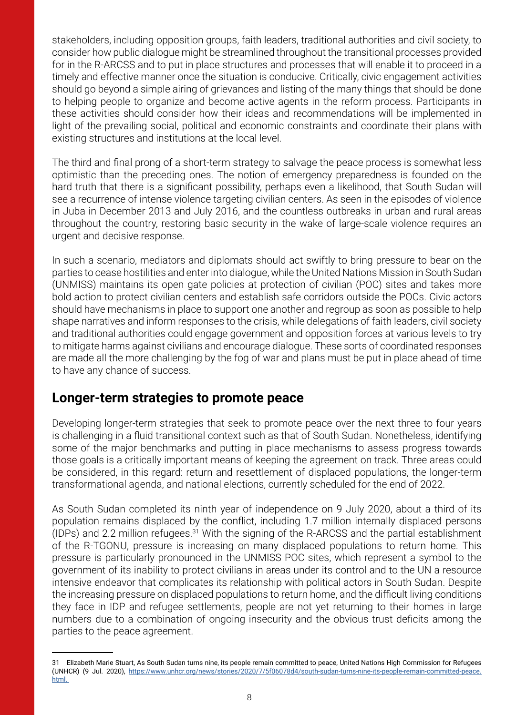stakeholders, including opposition groups, faith leaders, traditional authorities and civil society, to consider how public dialogue might be streamlined throughout the transitional processes provided for in the R-ARCSS and to put in place structures and processes that will enable it to proceed in a timely and effective manner once the situation is conducive. Critically, civic engagement activities should go beyond a simple airing of grievances and listing of the many things that should be done to helping people to organize and become active agents in the reform process. Participants in these activities should consider how their ideas and recommendations will be implemented in light of the prevailing social, political and economic constraints and coordinate their plans with existing structures and institutions at the local level.

The third and final prong of a short-term strategy to salvage the peace process is somewhat less optimistic than the preceding ones. The notion of emergency preparedness is founded on the hard truth that there is a significant possibility, perhaps even a likelihood, that South Sudan will see a recurrence of intense violence targeting civilian centers. As seen in the episodes of violence in Juba in December 2013 and July 2016, and the countless outbreaks in urban and rural areas throughout the country, restoring basic security in the wake of large-scale violence requires an urgent and decisive response.

In such a scenario, mediators and diplomats should act swiftly to bring pressure to bear on the parties to cease hostilities and enter into dialogue, while the United Nations Mission in South Sudan (UNMISS) maintains its open gate policies at protection of civilian (POC) sites and takes more bold action to protect civilian centers and establish safe corridors outside the POCs. Civic actors should have mechanisms in place to support one another and regroup as soon as possible to help shape narratives and inform responses to the crisis, while delegations of faith leaders, civil society and traditional authorities could engage government and opposition forces at various levels to try to mitigate harms against civilians and encourage dialogue. These sorts of coordinated responses are made all the more challenging by the fog of war and plans must be put in place ahead of time to have any chance of success.

#### **Longer-term strategies to promote peace**

Developing longer-term strategies that seek to promote peace over the next three to four years is challenging in a fluid transitional context such as that of South Sudan. Nonetheless, identifying some of the major benchmarks and putting in place mechanisms to assess progress towards those goals is a critically important means of keeping the agreement on track. Three areas could be considered, in this regard: return and resettlement of displaced populations, the longer-term transformational agenda, and national elections, currently scheduled for the end of 2022.

As South Sudan completed its ninth year of independence on 9 July 2020, about a third of its population remains displaced by the conflict, including 1.7 million internally displaced persons (IDPs) and 2.2 million refugees. $31$  With the signing of the R-ARCSS and the partial establishment of the R-TGONU, pressure is increasing on many displaced populations to return home. This pressure is particularly pronounced in the UNMISS POC sites, which represent a symbol to the government of its inability to protect civilians in areas under its control and to the UN a resource intensive endeavor that complicates its relationship with political actors in South Sudan. Despite the increasing pressure on displaced populations to return home, and the difficult living conditions they face in IDP and refugee settlements, people are not yet returning to their homes in large numbers due to a combination of ongoing insecurity and the obvious trust deficits among the parties to the peace agreement.

<sup>31</sup> Elizabeth Marie Stuart, As South Sudan turns nine, its people remain committed to peace, United Nations High Commission for Refugees (UNHCR) (9 Jul. 2020), [https://www.unhcr.org/news/stories/2020/7/5f06078d4/south-sudan-turns-nine-its-people-remain-committed-peace.](https://www.unhcr.org/news/stories/2020/7/5f06078d4/south-sudan-turns-nine-its-people-remain-committ) [html.](https://www.unhcr.org/news/stories/2020/7/5f06078d4/south-sudan-turns-nine-its-people-remain-committ)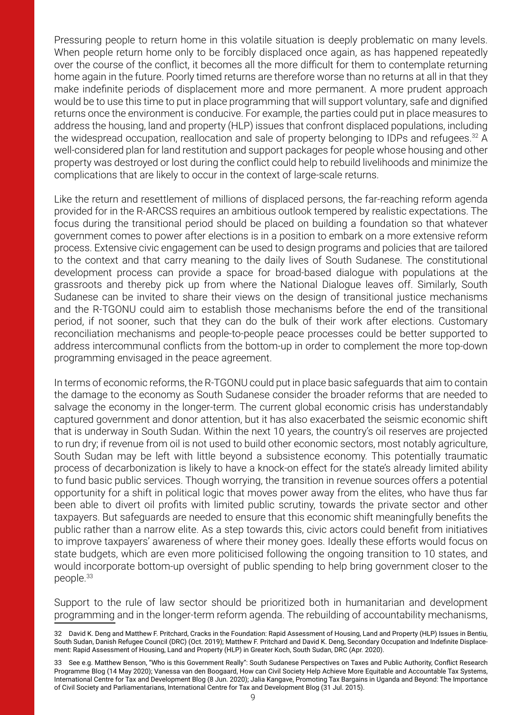Pressuring people to return home in this volatile situation is deeply problematic on many levels. When people return home only to be forcibly displaced once again, as has happened repeatedly over the course of the conflict, it becomes all the more difficult for them to contemplate returning home again in the future. Poorly timed returns are therefore worse than no returns at all in that they make indefinite periods of displacement more and more permanent. A more prudent approach would be to use this time to put in place programming that will support voluntary, safe and dignified returns once the environment is conducive. For example, the parties could put in place measures to address the housing, land and property (HLP) issues that confront displaced populations, including the widespread occupation, reallocation and sale of property belonging to IDPs and refugees.<sup>32</sup> A well-considered plan for land restitution and support packages for people whose housing and other property was destroyed or lost during the conflict could help to rebuild livelihoods and minimize the complications that are likely to occur in the context of large-scale returns.

Like the return and resettlement of millions of displaced persons, the far-reaching reform agenda provided for in the R-ARCSS requires an ambitious outlook tempered by realistic expectations. The focus during the transitional period should be placed on building a foundation so that whatever government comes to power after elections is in a position to embark on a more extensive reform process. Extensive civic engagement can be used to design programs and policies that are tailored to the context and that carry meaning to the daily lives of South Sudanese. The constitutional development process can provide a space for broad-based dialogue with populations at the grassroots and thereby pick up from where the National Dialogue leaves off. Similarly, South Sudanese can be invited to share their views on the design of transitional justice mechanisms and the R-TGONU could aim to establish those mechanisms before the end of the transitional period, if not sooner, such that they can do the bulk of their work after elections. Customary reconciliation mechanisms and people-to-people peace processes could be better supported to address intercommunal conflicts from the bottom-up in order to complement the more top-down programming envisaged in the peace agreement.

In terms of economic reforms, the R-TGONU could put in place basic safeguards that aim to contain the damage to the economy as South Sudanese consider the broader reforms that are needed to salvage the economy in the longer-term. The current global economic crisis has understandably captured government and donor attention, but it has also exacerbated the seismic economic shift that is underway in South Sudan. Within the next 10 years, the country's oil reserves are projected to run dry; if revenue from oil is not used to build other economic sectors, most notably agriculture, South Sudan may be left with little beyond a subsistence economy. This potentially traumatic process of decarbonization is likely to have a knock-on effect for the state's already limited ability to fund basic public services. Though worrying, the transition in revenue sources offers a potential opportunity for a shift in political logic that moves power away from the elites, who have thus far been able to divert oil profits with limited public scrutiny, towards the private sector and other taxpayers. But safeguards are needed to ensure that this economic shift meaningfully benefits the public rather than a narrow elite. As a step towards this, civic actors could benefit from initiatives to improve taxpayers' awareness of where their money goes. Ideally these efforts would focus on state budgets, which are even more politicised following the ongoing transition to 10 states, and would incorporate bottom-up oversight of public spending to help bring government closer to the people.33

Support to the rule of law sector should be prioritized both in humanitarian and development programming and in the longer-term reform agenda. The rebuilding of accountability mechanisms,

<sup>32</sup> David K. Deng and Matthew F. Pritchard, Cracks in the Foundation: Rapid Assessment of Housing, Land and Property (HLP) Issues in Bentiu, South Sudan, Danish Refugee Council (DRC) (Oct. 2019); Matthew F. Pritchard and David K. Deng, Secondary Occupation and Indefinite Displacement: Rapid Assessment of Housing, Land and Property (HLP) in Greater Koch, South Sudan, DRC (Apr. 2020).

<sup>33</sup> See e.g. Matthew Benson, "Who is this Government Really": South Sudanese Perspectives on Taxes and Public Authority, Conflict Research Programme Blog (14 May 2020); Vanessa van den Boogaard, How can Civil Society Help Achieve More Equitable and Accountable Tax Systems, International Centre for Tax and Development Blog (8 Jun. 2020); Jalia Kangave, Promoting Tax Bargains in Uganda and Beyond: The Importance of Civil Society and Parliamentarians, International Centre for Tax and Development Blog (31 Jul. 2015).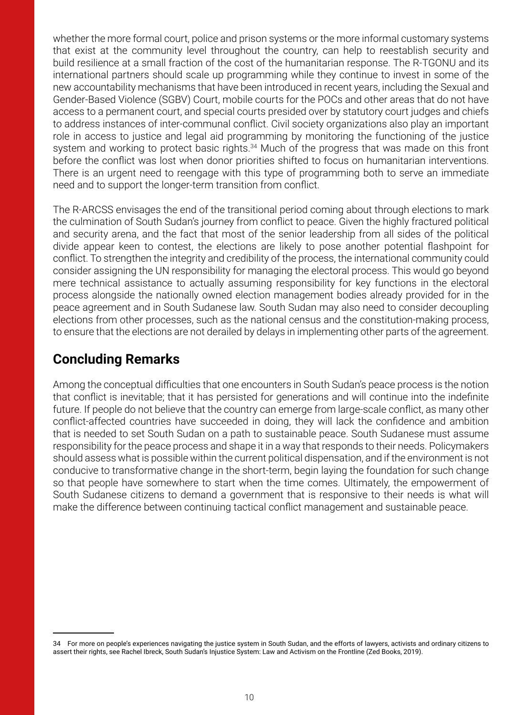whether the more formal court, police and prison systems or the more informal customary systems that exist at the community level throughout the country, can help to reestablish security and build resilience at a small fraction of the cost of the humanitarian response. The R-TGONU and its international partners should scale up programming while they continue to invest in some of the new accountability mechanisms that have been introduced in recent years, including the Sexual and Gender-Based Violence (SGBV) Court, mobile courts for the POCs and other areas that do not have access to a permanent court, and special courts presided over by statutory court judges and chiefs to address instances of inter-communal conflict. Civil society organizations also play an important role in access to justice and legal aid programming by monitoring the functioning of the justice system and working to protect basic rights.<sup>34</sup> Much of the progress that was made on this front before the conflict was lost when donor priorities shifted to focus on humanitarian interventions. There is an urgent need to reengage with this type of programming both to serve an immediate need and to support the longer-term transition from conflict.

The R-ARCSS envisages the end of the transitional period coming about through elections to mark the culmination of South Sudan's journey from conflict to peace. Given the highly fractured political and security arena, and the fact that most of the senior leadership from all sides of the political divide appear keen to contest, the elections are likely to pose another potential flashpoint for conflict. To strengthen the integrity and credibility of the process, the international community could consider assigning the UN responsibility for managing the electoral process. This would go beyond mere technical assistance to actually assuming responsibility for key functions in the electoral process alongside the nationally owned election management bodies already provided for in the peace agreement and in South Sudanese law. South Sudan may also need to consider decoupling elections from other processes, such as the national census and the constitution-making process, to ensure that the elections are not derailed by delays in implementing other parts of the agreement.

# **Concluding Remarks**

Among the conceptual difficulties that one encounters in South Sudan's peace process is the notion that conflict is inevitable; that it has persisted for generations and will continue into the indefinite future. If people do not believe that the country can emerge from large-scale conflict, as many other conflict-affected countries have succeeded in doing, they will lack the confidence and ambition that is needed to set South Sudan on a path to sustainable peace. South Sudanese must assume responsibility for the peace process and shape it in a way that responds to their needs. Policymakers should assess what is possible within the current political dispensation, and if the environment is not conducive to transformative change in the short-term, begin laying the foundation for such change so that people have somewhere to start when the time comes. Ultimately, the empowerment of South Sudanese citizens to demand a government that is responsive to their needs is what will make the difference between continuing tactical conflict management and sustainable peace.

<sup>34</sup> For more on people's experiences navigating the justice system in South Sudan, and the efforts of lawyers, activists and ordinary citizens to assert their rights, see Rachel Ibreck, South Sudan's Injustice System: Law and Activism on the Frontline (Zed Books, 2019).